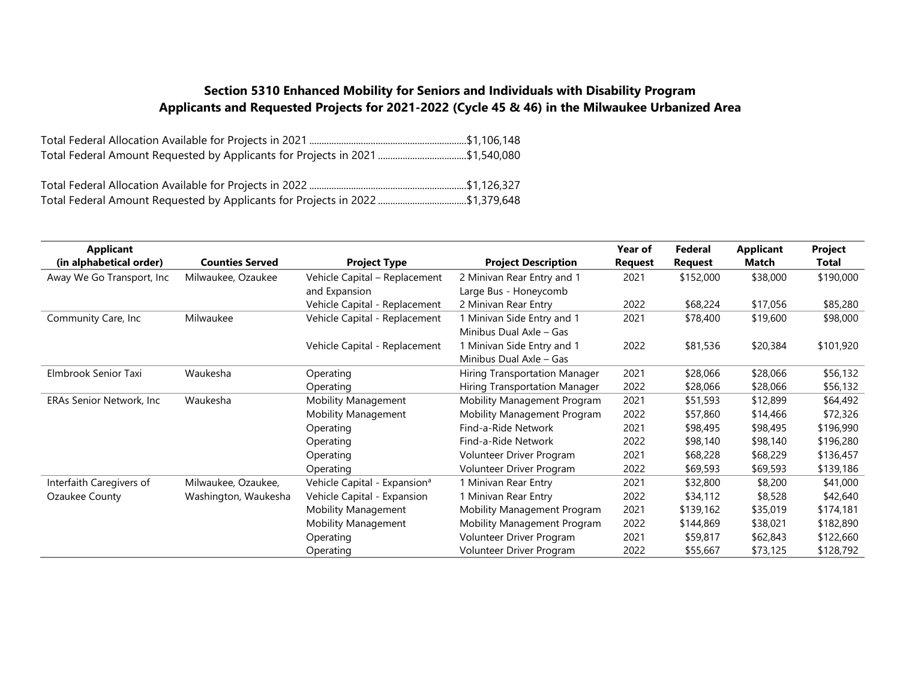## **Section 5310 Enhanced Mobility for Seniors and Individuals with Disability Program Applicants and Requested Projects for 2021-2022 (Cycle 45 & 46) in the Milwaukee Urbanized Area**

| Total Federal Amount Requested by Applicants for Projects in 2021 \$1,540,080 |  |
|-------------------------------------------------------------------------------|--|
|                                                                               |  |

| <b>Applicant</b>          | <b>Counties Served</b> |                                          |                               | Year of | Federal        | <b>Applicant</b> | Project   |
|---------------------------|------------------------|------------------------------------------|-------------------------------|---------|----------------|------------------|-----------|
| (in alphabetical order)   |                        | <b>Project Type</b>                      | <b>Project Description</b>    | Request | <b>Request</b> | Match            | Total     |
| Away We Go Transport, Inc | Milwaukee, Ozaukee     | Vehicle Capital - Replacement            | 2 Minivan Rear Entry and 1    | 2021    | \$152,000      | \$38,000         | \$190,000 |
|                           |                        | and Expansion                            | Large Bus - Honeycomb         |         |                |                  |           |
|                           |                        | Vehicle Capital - Replacement            | 2 Minivan Rear Entry          | 2022    | \$68,224       | \$17,056         | \$85,280  |
| Community Care, Inc       | Milwaukee              | Vehicle Capital - Replacement            | 1 Minivan Side Entry and 1    | 2021    | \$78,400       | \$19,600         | \$98,000  |
|                           |                        |                                          | Minibus Dual Axle - Gas       |         |                |                  |           |
|                           |                        | Vehicle Capital - Replacement            | 1 Minivan Side Entry and 1    | 2022    | \$81,536       | \$20,384         | \$101,920 |
|                           |                        |                                          | Minibus Dual Axle - Gas       |         |                |                  |           |
| Elmbrook Senior Taxi      | Waukesha               | Operating                                | Hiring Transportation Manager | 2021    | \$28,066       | \$28,066         | \$56,132  |
|                           |                        | Operating                                | Hiring Transportation Manager | 2022    | \$28,066       | \$28,066         | \$56,132  |
| ERAs Senior Network, Inc  | Waukesha               | Mobility Management                      | Mobility Management Program   | 2021    | \$51,593       | \$12,899         | \$64,492  |
|                           |                        | <b>Mobility Management</b>               | Mobility Management Program   | 2022    | \$57,860       | \$14,466         | \$72,326  |
|                           |                        | Operating                                | Find-a-Ride Network           | 2021    | \$98,495       | \$98,495         | \$196,990 |
|                           |                        | Operating                                | Find-a-Ride Network           | 2022    | \$98,140       | \$98,140         | \$196,280 |
|                           |                        | Operating                                | Volunteer Driver Program      | 2021    | \$68,228       | \$68,229         | \$136,457 |
|                           |                        | Operating                                | Volunteer Driver Program      | 2022    | \$69,593       | \$69,593         | \$139,186 |
| Interfaith Caregivers of  | Milwaukee, Ozaukee,    | Vehicle Capital - Expansion <sup>a</sup> | 1 Minivan Rear Entry          | 2021    | \$32,800       | \$8,200          | \$41,000  |
| Ozaukee County            | Washington, Waukesha   | Vehicle Capital - Expansion              | 1 Minivan Rear Entry          | 2022    | \$34,112       | \$8,528          | \$42,640  |
|                           |                        | <b>Mobility Management</b>               | Mobility Management Program   | 2021    | \$139,162      | \$35,019         | \$174,181 |
|                           |                        | <b>Mobility Management</b>               | Mobility Management Program   | 2022    | \$144,869      | \$38,021         | \$182,890 |
|                           |                        | Operating                                | Volunteer Driver Program      | 2021    | \$59,817       | \$62,843         | \$122,660 |
|                           |                        | Operating                                | Volunteer Driver Program      | 2022    | \$55,667       | \$73,125         | \$128,792 |